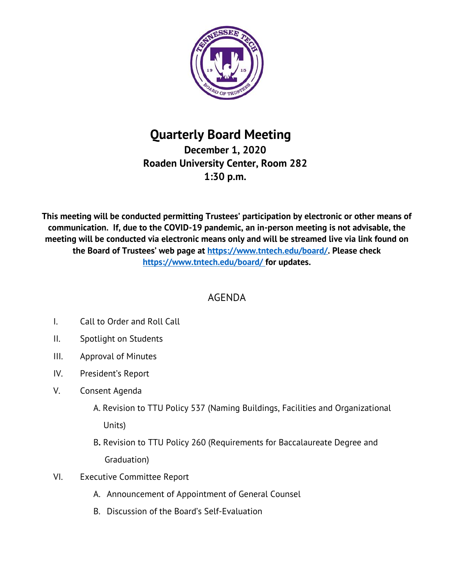

## **Quarterly Board Meeting December 1, 2020 Roaden University Center, Room 282 1:30 p.m.**

**This meeting will be conducted permitting Trustees' participation by electronic or other means of communication. If, due to the COVID-19 pandemic, an in-person meeting is not advisable, the meeting will be conducted via electronic means only and will be streamed live via link found on the Board of Trustees' web page at [https://www.tntech.edu/board/.](https://www.tntech.edu/board/) Please check <https://www.tntech.edu/board/> for updates.**

## AGENDA

- I. Call to Order and Roll Call
- II. Spotlight on Students
- III. Approval of Minutes
- IV. President's Report
- V. Consent Agenda
	- A. Revision to TTU Policy 537 (Naming Buildings, Facilities and Organizational Units)
	- B**.** Revision to TTU Policy 260 (Requirements for Baccalaureate Degree and Graduation)
- VI. Executive Committee Report
	- A. Announcement of Appointment of General Counsel
	- B. Discussion of the Board's Self-Evaluation